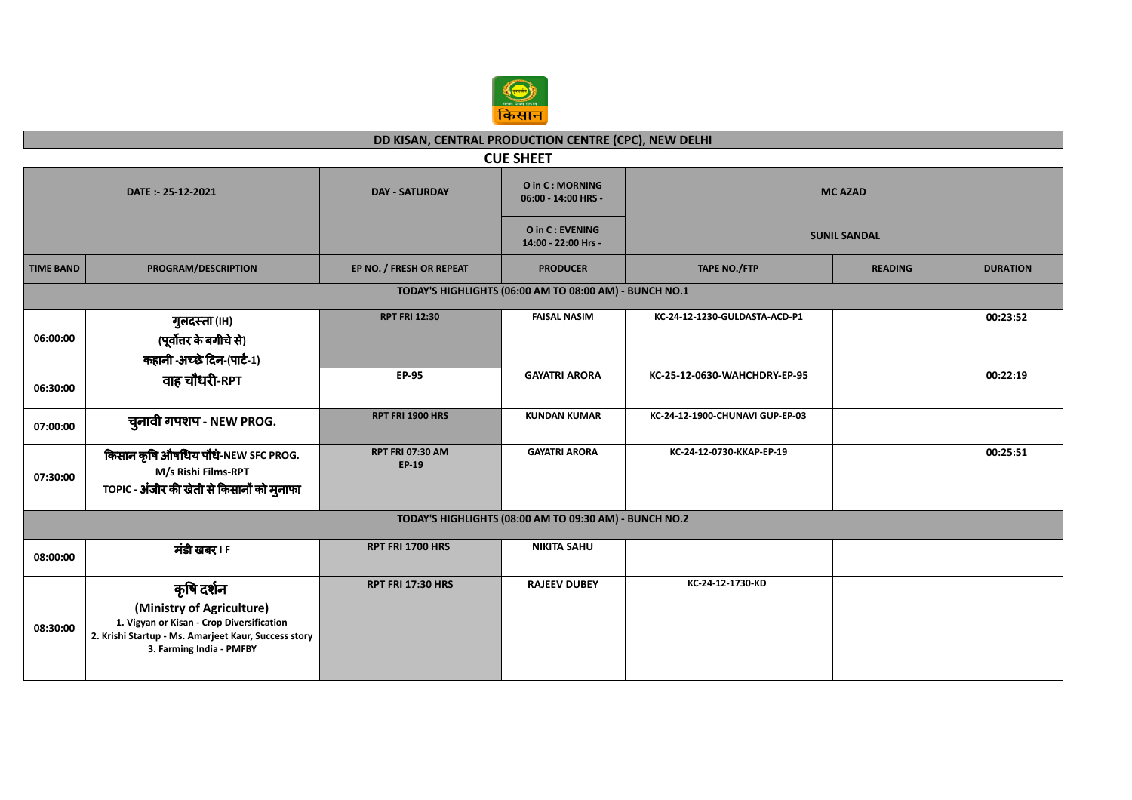

## **DD KISAN, CENTRAL PRODUCTION CENTRE (CPC), NEW DELHI**

| <b>CUE SHEET</b>                                                                                        |                                                                                                                                                                          |                                  |                                        |                                 |                |                 |  |  |
|---------------------------------------------------------------------------------------------------------|--------------------------------------------------------------------------------------------------------------------------------------------------------------------------|----------------------------------|----------------------------------------|---------------------------------|----------------|-----------------|--|--|
| O in C: MORNING<br><b>DAY - SATURDAY</b><br><b>MC AZAD</b><br>DATE: - 25-12-2021<br>06:00 - 14:00 HRS - |                                                                                                                                                                          |                                  |                                        |                                 |                |                 |  |  |
|                                                                                                         |                                                                                                                                                                          |                                  | O in C: EVENING<br>14:00 - 22:00 Hrs - | <b>SUNIL SANDAL</b>             |                |                 |  |  |
| <b>TIME BAND</b>                                                                                        | PROGRAM/DESCRIPTION                                                                                                                                                      | EP NO. / FRESH OR REPEAT         | <b>PRODUCER</b>                        | <b>TAPE NO./FTP</b>             | <b>READING</b> | <b>DURATION</b> |  |  |
|                                                                                                         | TODAY'S HIGHLIGHTS (06:00 AM TO 08:00 AM) - BUNCH NO.1                                                                                                                   |                                  |                                        |                                 |                |                 |  |  |
| 06:00:00                                                                                                | गुलदस्ता (IH)<br>(पूर्वोत्तर के बगीचे से)<br>कहानी -अच्छे दिन-(पार्ट-1)                                                                                                  | <b>RPT FRI 12:30</b>             | <b>FAISAL NASIM</b>                    | KC-24-12-1230-GULDASTA-ACD-P1   |                | 00:23:52        |  |  |
| 06:30:00                                                                                                | वाह चौधरी-RPT                                                                                                                                                            | <b>EP-95</b>                     | <b>GAYATRI ARORA</b>                   | KC-25-12-0630-WAHCHDRY-EP-95    |                | 00:22:19        |  |  |
| 07:00:00                                                                                                | चुनावी गपशप - NEW PROG.                                                                                                                                                  | RPT FRI 1900 HRS                 | <b>KUNDAN KUMAR</b>                    | KC-24-12-1900-CHUNAVI GUP-EP-03 |                |                 |  |  |
| 07:30:00                                                                                                | किसान कृषि औषधिय पौधे-NEW SFC PROG.<br>M/s Rishi Films-RPT<br>TOPIC - अंजीर की खेती से किसानों को मुनाफा                                                                 | <b>RPT FRI 07:30 AM</b><br>EP-19 | <b>GAYATRI ARORA</b>                   | KC-24-12-0730-KKAP-EP-19        |                | 00:25:51        |  |  |
| TODAY'S HIGHLIGHTS (08:00 AM TO 09:30 AM) - BUNCH NO.2                                                  |                                                                                                                                                                          |                                  |                                        |                                 |                |                 |  |  |
| 08:00:00                                                                                                | मंडी खबर । F                                                                                                                                                             | RPT FRI 1700 HRS                 | <b>NIKITA SAHU</b>                     |                                 |                |                 |  |  |
| 08:30:00                                                                                                | कृषि दर्शन<br>(Ministry of Agriculture)<br>1. Vigyan or Kisan - Crop Diversification<br>2. Krishi Startup - Ms. Amarjeet Kaur, Success story<br>3. Farming India - PMFBY | <b>RPT FRI 17:30 HRS</b>         | <b>RAJEEV DUBEY</b>                    | KC-24-12-1730-KD                |                |                 |  |  |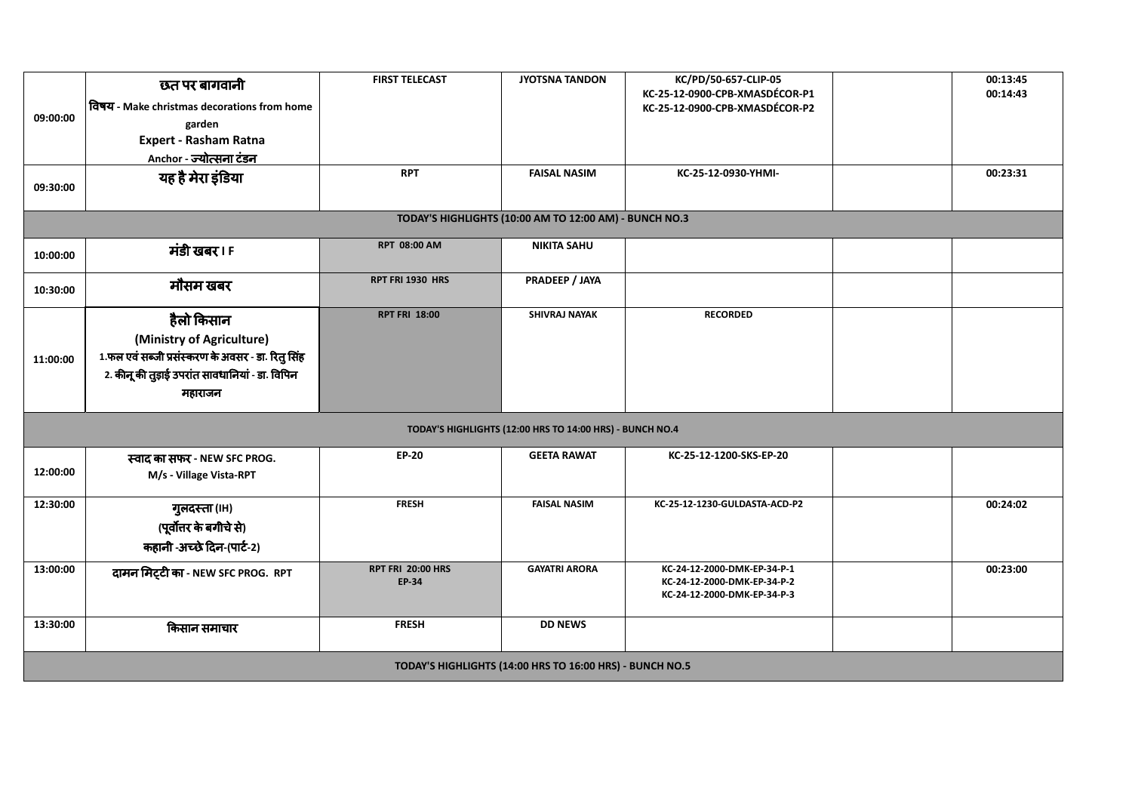| 09:00:00<br>09:30:00                                     | छत पर बागवानी<br>विषय - Make christmas decorations from home<br>garden<br><b>Expert - Rasham Ratna</b><br>Anchor - ज्योत्सना टंडन<br>यह है मेरा इंडिया     | <b>FIRST TELECAST</b><br><b>RPT</b>      | <b>JYOTSNA TANDON</b><br><b>FAISAL NASIM</b>           | KC/PD/50-657-CLIP-05<br>KC-25-12-0900-CPB-XMASDÉCOR-P1<br>KC-25-12-0900-CPB-XMASDÉCOR-P2<br>KC-25-12-0930-YHMI- |  | 00:13:45<br>00:14:43<br>00:23:31 |  |
|----------------------------------------------------------|------------------------------------------------------------------------------------------------------------------------------------------------------------|------------------------------------------|--------------------------------------------------------|-----------------------------------------------------------------------------------------------------------------|--|----------------------------------|--|
|                                                          |                                                                                                                                                            |                                          | TODAY'S HIGHLIGHTS (10:00 AM TO 12:00 AM) - BUNCH NO.3 |                                                                                                                 |  |                                  |  |
| 10:00:00                                                 | मंडी खबर। F                                                                                                                                                | <b>RPT 08:00 AM</b>                      | <b>NIKITA SAHU</b>                                     |                                                                                                                 |  |                                  |  |
| 10:30:00                                                 | मौसम खबर                                                                                                                                                   | RPT FRI 1930 HRS                         | PRADEEP / JAYA                                         |                                                                                                                 |  |                                  |  |
| 11:00:00                                                 | हैलो किसान<br>(Ministry of Agriculture)<br>1.फल एवं सब्जी प्रसंस्करण के अवसर - डा. रितु सिंह<br>2. कीनू की तुड़ाई उपरांत सावधानियां - डा. विपिन<br>महाराजन | <b>RPT FRI 18:00</b>                     | SHIVRAJ NAYAK                                          | <b>RECORDED</b>                                                                                                 |  |                                  |  |
|                                                          | TODAY'S HIGHLIGHTS (12:00 HRS TO 14:00 HRS) - BUNCH NO.4                                                                                                   |                                          |                                                        |                                                                                                                 |  |                                  |  |
| 12:00:00                                                 | स्वाद का सफर - NEW SFC PROG.<br>M/s - Village Vista-RPT                                                                                                    | <b>EP-20</b>                             | <b>GEETA RAWAT</b>                                     | KC-25-12-1200-SKS-EP-20                                                                                         |  |                                  |  |
| 12:30:00                                                 | गुलदस्ता (IH)<br>(पूर्वोत्तर के बगीचे से)<br>कहानी -अच्छे दिन-(पार्ट-2)                                                                                    | <b>FRESH</b>                             | <b>FAISAL NASIM</b>                                    | KC-25-12-1230-GULDASTA-ACD-P2                                                                                   |  | 00:24:02                         |  |
| 13:00:00                                                 | दामन मिट्टी का - NEW SFC PROG. RPT                                                                                                                         | <b>RPT FRI 20:00 HRS</b><br><b>EP-34</b> | <b>GAYATRI ARORA</b>                                   | KC-24-12-2000-DMK-EP-34-P-1<br>KC-24-12-2000-DMK-EP-34-P-2<br>KC-24-12-2000-DMK-EP-34-P-3                       |  | 00:23:00                         |  |
| 13:30:00                                                 | किसान समाचार                                                                                                                                               | <b>FRESH</b>                             | <b>DD NEWS</b>                                         |                                                                                                                 |  |                                  |  |
| TODAY'S HIGHLIGHTS (14:00 HRS TO 16:00 HRS) - BUNCH NO.5 |                                                                                                                                                            |                                          |                                                        |                                                                                                                 |  |                                  |  |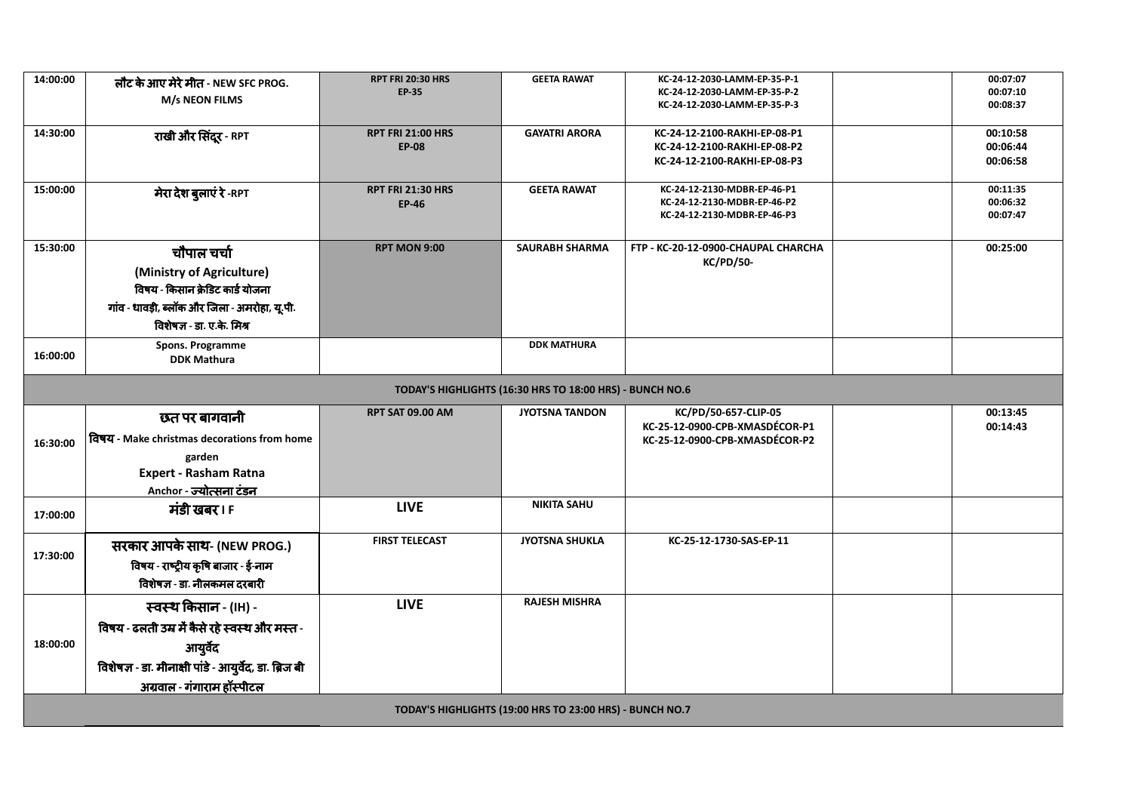| 14:00:00 | लौट के आए मेरे मीत - NEW SFC PROG.<br>M/s NEON FILMS     | <b>RPT FRI 20:30 HRS</b><br><b>EP-35</b> | <b>GEETA RAWAT</b>                                       | KC-24-12-2030-LAMM-EP-35-P-1<br>KC-24-12-2030-LAMM-EP-35-P-2<br>KC-24-12-2030-LAMM-EP-35-P-3 |  | 00:07:07<br>00:07:10<br>00:08:37 |  |
|----------|----------------------------------------------------------|------------------------------------------|----------------------------------------------------------|----------------------------------------------------------------------------------------------|--|----------------------------------|--|
|          |                                                          |                                          |                                                          |                                                                                              |  |                                  |  |
| 14:30:00 | राखी और सिंदूर - RPT                                     | <b>RPT FRI 21:00 HRS</b>                 | <b>GAYATRI ARORA</b>                                     | KC-24-12-2100-RAKHI-EP-08-P1                                                                 |  | 00:10:58                         |  |
|          |                                                          | <b>EP-08</b>                             |                                                          | KC-24-12-2100-RAKHI-EP-08-P2                                                                 |  | 00:06:44                         |  |
|          |                                                          |                                          |                                                          | KC-24-12-2100-RAKHI-EP-08-P3                                                                 |  | 00:06:58                         |  |
| 15:00:00 | मेरा देश बुलाएं रे -RPT                                  | <b>RPT FRI 21:30 HRS</b>                 | <b>GEETA RAWAT</b>                                       | KC-24-12-2130-MDBR-EP-46-P1                                                                  |  | 00:11:35                         |  |
|          |                                                          | <b>EP-46</b>                             |                                                          | KC-24-12-2130-MDBR-EP-46-P2<br>KC-24-12-2130-MDBR-EP-46-P3                                   |  | 00:06:32<br>00:07:47             |  |
|          |                                                          |                                          |                                                          |                                                                                              |  |                                  |  |
| 15:30:00 | चौपाल चर्चा                                              | <b>RPT MON 9:00</b>                      | <b>SAURABH SHARMA</b>                                    | FTP - KC-20-12-0900-CHAUPAL CHARCHA<br><b>KC/PD/50-</b>                                      |  | 00:25:00                         |  |
|          | (Ministry of Agriculture)                                |                                          |                                                          |                                                                                              |  |                                  |  |
|          | विषय - किसान क्रेडिट कार्ड योजना                         |                                          |                                                          |                                                                                              |  |                                  |  |
|          | गांव - धावड़ी, ब्लॉक और जिला - अमरोहा, यू.पी.            |                                          |                                                          |                                                                                              |  |                                  |  |
|          | विशेषज्ञ - डा. ए.के. मिश्र                               |                                          |                                                          |                                                                                              |  |                                  |  |
| 16:00:00 | <b>Spons. Programme</b>                                  |                                          | <b>DDK MATHURA</b>                                       |                                                                                              |  |                                  |  |
|          | <b>DDK Mathura</b>                                       |                                          |                                                          |                                                                                              |  |                                  |  |
|          | TODAY'S HIGHLIGHTS (16:30 HRS TO 18:00 HRS) - BUNCH NO.6 |                                          |                                                          |                                                                                              |  |                                  |  |
|          | छत पर बागवानी                                            | <b>RPT SAT 09.00 AM</b>                  | <b>JYOTSNA TANDON</b>                                    | KC/PD/50-657-CLIP-05<br>KC-25-12-0900-CPB-XMASDÉCOR-P1                                       |  | 00:13:45                         |  |
| 16:30:00 | विषय - Make christmas decorations from home              |                                          |                                                          | KC-25-12-0900-CPB-XMASDÉCOR-P2                                                               |  | 00:14:43                         |  |
|          |                                                          |                                          |                                                          |                                                                                              |  |                                  |  |
|          | garden                                                   |                                          |                                                          |                                                                                              |  |                                  |  |
|          | <b>Expert - Rasham Ratna</b>                             |                                          |                                                          |                                                                                              |  |                                  |  |
|          | Anchor - ज्योत्सना टंडन                                  |                                          |                                                          |                                                                                              |  |                                  |  |
| 17:00:00 | मंडी खबर। F                                              | <b>LIVE</b>                              | <b>NIKITA SAHU</b>                                       |                                                                                              |  |                                  |  |
|          |                                                          |                                          |                                                          |                                                                                              |  |                                  |  |
|          | सरकार आपके साथ- (NEW PROG.)                              | <b>FIRST TELECAST</b>                    | <b>JYOTSNA SHUKLA</b>                                    | KC-25-12-1730-SAS-EP-11                                                                      |  |                                  |  |
| 17:30:00 | विषय - राष्ट्रीय कृषि बाजार - ई-नाम                      |                                          |                                                          |                                                                                              |  |                                  |  |
|          | विशेषज्ञ - डा. नीलकमल दरबारी                             |                                          |                                                          |                                                                                              |  |                                  |  |
|          | स्वस्थ किसान - (IH) -                                    | <b>LIVE</b>                              | <b>RAJESH MISHRA</b>                                     |                                                                                              |  |                                  |  |
|          | विषय - ढलती उम्र में कैसे रहे स्वस्थ और मस्त -           |                                          |                                                          |                                                                                              |  |                                  |  |
| 18:00:00 |                                                          |                                          |                                                          |                                                                                              |  |                                  |  |
|          | आयुर्वेद                                                 |                                          |                                                          |                                                                                              |  |                                  |  |
|          | विशेषज्ञ - डा. मीनाक्षी पांडे - आयुर्वेद, डा. ब्रिज बी   |                                          |                                                          |                                                                                              |  |                                  |  |
|          | अग्रवाल - गंगाराम हॉस्पीटल                               |                                          | TODAY'S HIGHLIGHTS (19:00 HRS TO 23:00 HRS) - BUNCH NO.7 |                                                                                              |  |                                  |  |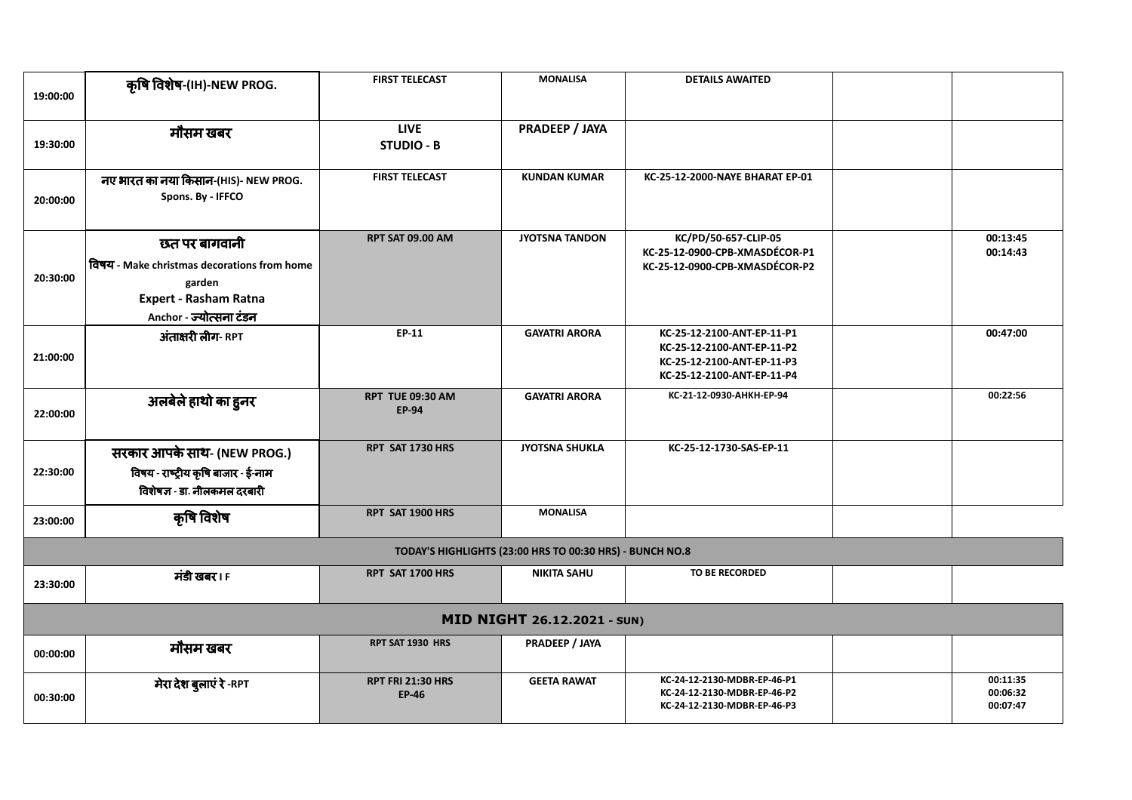| 19:00:00 | কৃষি বিशेष-(IH)-NEW PROG.                                                                                                         | <b>FIRST TELECAST</b>                    | <b>MONALISA</b>                                          | <b>DETAILS AWAITED</b>                                                                                               |  |                                  |  |
|----------|-----------------------------------------------------------------------------------------------------------------------------------|------------------------------------------|----------------------------------------------------------|----------------------------------------------------------------------------------------------------------------------|--|----------------------------------|--|
| 19:30:00 | मौसम खबर                                                                                                                          | <b>LIVE</b><br><b>STUDIO - B</b>         | PRADEEP / JAYA                                           |                                                                                                                      |  |                                  |  |
| 20:00:00 | नए भारत का नया किसान-(HIS)- NEW PROG.<br>Spons. By - IFFCO                                                                        | <b>FIRST TELECAST</b>                    | <b>KUNDAN KUMAR</b>                                      | KC-25-12-2000-NAYE BHARAT EP-01                                                                                      |  |                                  |  |
| 20:30:00 | छत पर बागवानी<br>तिषय - Make christmas decorations from home<br>garden<br><b>Expert - Rasham Ratna</b><br>Anchor - ज्योत्सना टंडन | <b>RPT SAT 09.00 AM</b>                  | <b>JYOTSNA TANDON</b>                                    | KC/PD/50-657-CLIP-05<br>KC-25-12-0900-CPB-XMASDÉCOR-P1<br>KC-25-12-0900-CPB-XMASDÉCOR-P2                             |  | 00:13:45<br>00:14:43             |  |
| 21:00:00 | अंताक्षरी लीग- RPT                                                                                                                | EP-11                                    | <b>GAYATRI ARORA</b>                                     | KC-25-12-2100-ANT-EP-11-P1<br>KC-25-12-2100-ANT-EP-11-P2<br>KC-25-12-2100-ANT-EP-11-P3<br>KC-25-12-2100-ANT-EP-11-P4 |  | 00:47:00                         |  |
| 22:00:00 | अलबेले हाथो का हुनर                                                                                                               | <b>RPT TUE 09:30 AM</b><br><b>EP-94</b>  | <b>GAYATRI ARORA</b>                                     | KC-21-12-0930-AHKH-EP-94                                                                                             |  | 00:22:56                         |  |
| 22:30:00 | सरकार आपके साथ- (NEW PROG.)<br>विषय - राष्ट्रीय कृषि बाजार - ई-नाम<br>विशेषज्ञ - डा. नीलकमल दरबारी                                | RPT SAT 1730 HRS                         | <b>JYOTSNA SHUKLA</b>                                    | KC-25-12-1730-SAS-EP-11                                                                                              |  |                                  |  |
| 23:00:00 | कृषि विशेष                                                                                                                        | RPT SAT 1900 HRS                         | <b>MONALISA</b>                                          |                                                                                                                      |  |                                  |  |
|          |                                                                                                                                   |                                          | TODAY'S HIGHLIGHTS (23:00 HRS TO 00:30 HRS) - BUNCH NO.8 |                                                                                                                      |  |                                  |  |
| 23:30:00 | मंडी खबर । F                                                                                                                      | RPT SAT 1700 HRS                         | <b>NIKITA SAHU</b>                                       | <b>TO BE RECORDED</b>                                                                                                |  |                                  |  |
|          | MID NIGHT 26.12.2021 - SUN)                                                                                                       |                                          |                                                          |                                                                                                                      |  |                                  |  |
| 00:00:00 | मौसम खबर                                                                                                                          | RPT SAT 1930 HRS                         | PRADEEP / JAYA                                           |                                                                                                                      |  |                                  |  |
| 00:30:00 | मेरा देश बुलाएं रे -RPT                                                                                                           | <b>RPT FRI 21:30 HRS</b><br><b>EP-46</b> | <b>GEETA RAWAT</b>                                       | KC-24-12-2130-MDBR-EP-46-P1<br>KC-24-12-2130-MDBR-EP-46-P2<br>KC-24-12-2130-MDBR-EP-46-P3                            |  | 00:11:35<br>00:06:32<br>00:07:47 |  |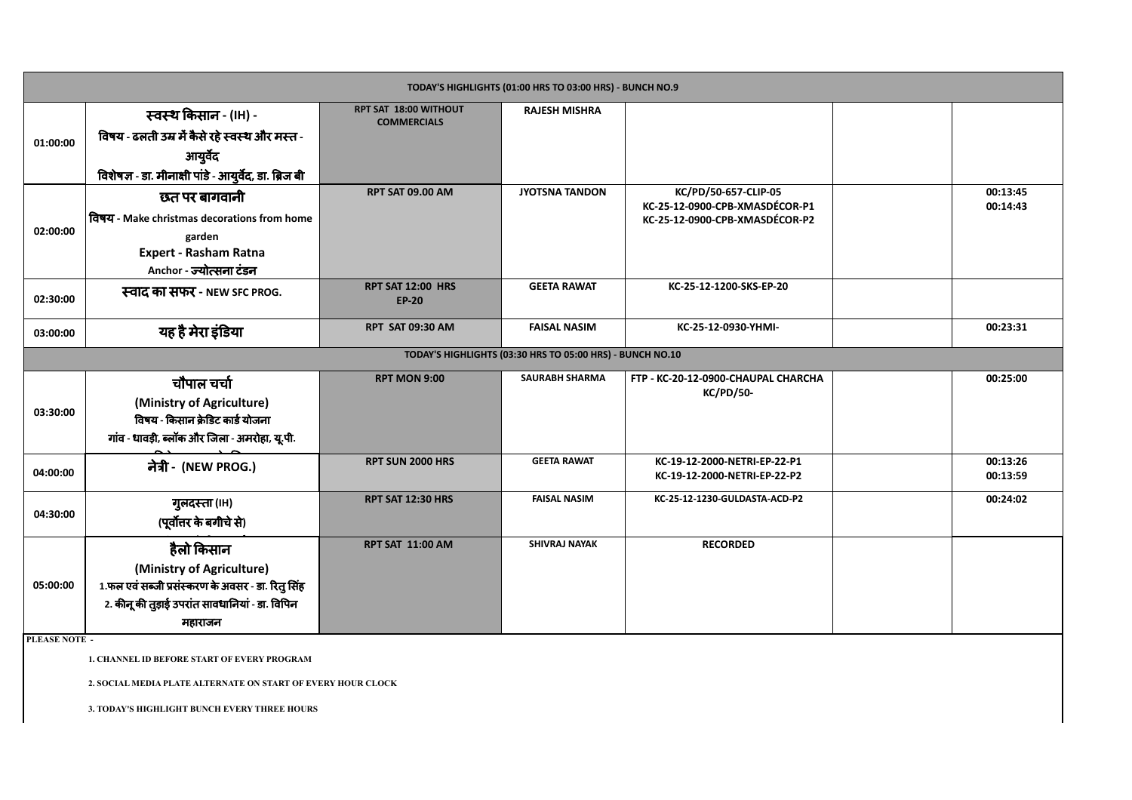| TODAY'S HIGHLIGHTS (01:00 HRS TO 03:00 HRS) - BUNCH NO.9 |                                                        |                                                    |                                                           |                                                              |  |                      |
|----------------------------------------------------------|--------------------------------------------------------|----------------------------------------------------|-----------------------------------------------------------|--------------------------------------------------------------|--|----------------------|
|                                                          | स्वस्थ किसान - (IH) -                                  | <b>RPT SAT 18:00 WITHOUT</b><br><b>COMMERCIALS</b> | <b>RAJESH MISHRA</b>                                      |                                                              |  |                      |
| 01:00:00                                                 | विषय - ढलती उम्र में कैसे रहे स्वस्थ और मस्त -         |                                                    |                                                           |                                                              |  |                      |
|                                                          | आयुर्वेद                                               |                                                    |                                                           |                                                              |  |                      |
|                                                          | विशेषज्ञ - डा. मीनाक्षी पांडे - आयुर्वेद, डा. ब्रिज बी |                                                    |                                                           |                                                              |  |                      |
|                                                          | छत पर बागवानी                                          | <b>RPT SAT 09.00 AM</b>                            | <b>JYOTSNA TANDON</b>                                     | KC/PD/50-657-CLIP-05<br>KC-25-12-0900-CPB-XMASDÉCOR-P1       |  | 00:13:45<br>00:14:43 |
|                                                          | विषय - Make christmas decorations from home            |                                                    |                                                           | KC-25-12-0900-CPB-XMASDÉCOR-P2                               |  |                      |
| 02:00:00                                                 | garden                                                 |                                                    |                                                           |                                                              |  |                      |
|                                                          | <b>Expert - Rasham Ratna</b>                           |                                                    |                                                           |                                                              |  |                      |
|                                                          | Anchor - ज्योत्सना टंडन                                | RPT SAT 12:00 HRS                                  | <b>GEETA RAWAT</b>                                        | KC-25-12-1200-SKS-EP-20                                      |  |                      |
| 02:30:00                                                 | स्वाद का सफर - NEW SFC PROG.                           | <b>EP-20</b>                                       |                                                           |                                                              |  |                      |
| 03:00:00                                                 | यह है मेरा इंडिया                                      | <b>RPT SAT 09:30 AM</b>                            | <b>FAISAL NASIM</b>                                       | KC-25-12-0930-YHMI-                                          |  | 00:23:31             |
|                                                          |                                                        |                                                    | TODAY'S HIGHLIGHTS (03:30 HRS TO 05:00 HRS) - BUNCH NO.10 |                                                              |  |                      |
|                                                          | चौपाल चर्चा                                            | <b>RPT MON 9:00</b>                                | <b>SAURABH SHARMA</b>                                     | FTP - KC-20-12-0900-CHAUPAL CHARCHA<br><b>KC/PD/50-</b>      |  | 00:25:00             |
| 03:30:00                                                 | (Ministry of Agriculture)                              |                                                    |                                                           |                                                              |  |                      |
|                                                          | विषय - किसान क्रेडिट कार्ड योजना                       |                                                    |                                                           |                                                              |  |                      |
|                                                          | गांव - धावड़ी, ब्लॉक और जिला - अमरोहा, यू.पी.          |                                                    |                                                           |                                                              |  |                      |
| 04:00:00                                                 | नेत्री - (NEW PROG.)                                   | <b>RPT SUN 2000 HRS</b>                            | <b>GEETA RAWAT</b>                                        | KC-19-12-2000-NETRI-EP-22-P1<br>KC-19-12-2000-NETRI-EP-22-P2 |  | 00:13:26<br>00:13:59 |
|                                                          |                                                        | <b>RPT SAT 12:30 HRS</b>                           | <b>FAISAL NASIM</b>                                       | KC-25-12-1230-GULDASTA-ACD-P2                                |  | 00:24:02             |
| 04:30:00                                                 | गुलदस्ता (IH)<br>(पूर्वोत्तर के बगीचे से)              |                                                    |                                                           |                                                              |  |                      |
|                                                          |                                                        |                                                    |                                                           |                                                              |  |                      |
|                                                          | हैलो किसान                                             | <b>RPT SAT 11:00 AM</b>                            | <b>SHIVRAJ NAYAK</b>                                      | <b>RECORDED</b>                                              |  |                      |
| 05:00:00                                                 | (Ministry of Agriculture)                              |                                                    |                                                           |                                                              |  |                      |
|                                                          | 1.फल एवं सब्जी प्रसंस्करण के अवसर - डा. रितु सिंह      |                                                    |                                                           |                                                              |  |                      |
|                                                          | 2. कीनू की तुड़ाई उपरांत सावधानियां - डा. विपिन        |                                                    |                                                           |                                                              |  |                      |
|                                                          | महाराजन                                                |                                                    |                                                           |                                                              |  |                      |

**PLEASE NOTE -**

**1. CHANNEL ID BEFORE START OF EVERY PROGRAM**

**2. SOCIAL MEDIA PLATE ALTERNATE ON START OF EVERY HOUR CLOCK** 

**3. TODAY'S HIGHLIGHT BUNCH EVERY THREE HOURS**